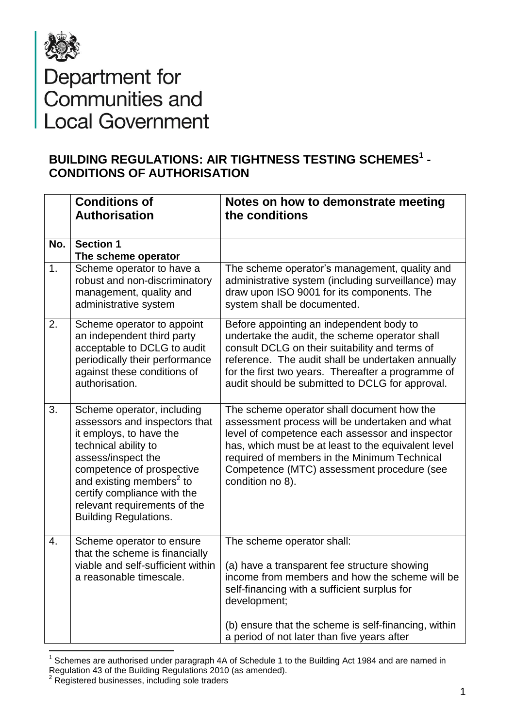

## Department for<br>Communities and<br>Local Government

## **BUILDING REGULATIONS: AIR TIGHTNESS TESTING SCHEMES<sup>1</sup> - CONDITIONS OF AUTHORISATION**

|     | <b>Conditions of</b><br><b>Authorisation</b>                                                                                                                                                                                                                                                             | Notes on how to demonstrate meeting<br>the conditions                                                                                                                                                                                                                                                                    |
|-----|----------------------------------------------------------------------------------------------------------------------------------------------------------------------------------------------------------------------------------------------------------------------------------------------------------|--------------------------------------------------------------------------------------------------------------------------------------------------------------------------------------------------------------------------------------------------------------------------------------------------------------------------|
| No. | <b>Section 1</b><br>The scheme operator                                                                                                                                                                                                                                                                  |                                                                                                                                                                                                                                                                                                                          |
| 1.  | Scheme operator to have a<br>robust and non-discriminatory<br>management, quality and<br>administrative system                                                                                                                                                                                           | The scheme operator's management, quality and<br>administrative system (including surveillance) may<br>draw upon ISO 9001 for its components. The<br>system shall be documented.                                                                                                                                         |
| 2.  | Scheme operator to appoint<br>an independent third party<br>acceptable to DCLG to audit<br>periodically their performance<br>against these conditions of<br>authorisation.                                                                                                                               | Before appointing an independent body to<br>undertake the audit, the scheme operator shall<br>consult DCLG on their suitability and terms of<br>reference. The audit shall be undertaken annually<br>for the first two years. Thereafter a programme of<br>audit should be submitted to DCLG for approval.               |
| 3.  | Scheme operator, including<br>assessors and inspectors that<br>it employs, to have the<br>technical ability to<br>assess/inspect the<br>competence of prospective<br>and existing members <sup>2</sup> to<br>certify compliance with the<br>relevant requirements of the<br><b>Building Regulations.</b> | The scheme operator shall document how the<br>assessment process will be undertaken and what<br>level of competence each assessor and inspector<br>has, which must be at least to the equivalent level<br>required of members in the Minimum Technical<br>Competence (MTC) assessment procedure (see<br>condition no 8). |
| 4.  | Scheme operator to ensure<br>that the scheme is financially<br>viable and self-sufficient within<br>a reasonable timescale.                                                                                                                                                                              | The scheme operator shall:<br>(a) have a transparent fee structure showing<br>income from members and how the scheme will be<br>self-financing with a sufficient surplus for<br>development;<br>(b) ensure that the scheme is self-financing, within<br>a period of not later than five years after                      |

<sup>————————————————————&</sup>lt;br><sup>1</sup> Schemes are authorised under paragraph 4A of Schedule 1 to the Building Act 1984 and are named in Regulation 43 of the Building Regulations 2010 (as amended).

 $2$  Registered businesses, including sole traders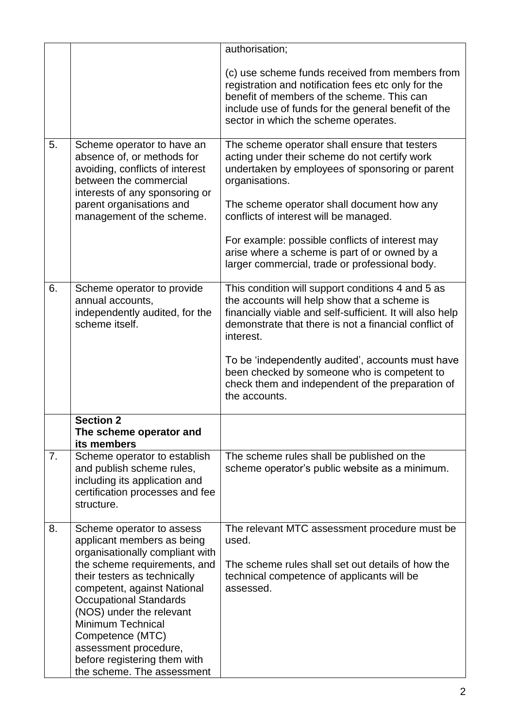|    |                                                                                                                                                                                                                                                                                                                                                                                               | authorisation;                                                                                                                                                                                                                                                                                                                                                                                                |
|----|-----------------------------------------------------------------------------------------------------------------------------------------------------------------------------------------------------------------------------------------------------------------------------------------------------------------------------------------------------------------------------------------------|---------------------------------------------------------------------------------------------------------------------------------------------------------------------------------------------------------------------------------------------------------------------------------------------------------------------------------------------------------------------------------------------------------------|
|    |                                                                                                                                                                                                                                                                                                                                                                                               | (c) use scheme funds received from members from<br>registration and notification fees etc only for the<br>benefit of members of the scheme. This can<br>include use of funds for the general benefit of the<br>sector in which the scheme operates.                                                                                                                                                           |
| 5. | Scheme operator to have an<br>absence of, or methods for<br>avoiding, conflicts of interest<br>between the commercial<br>interests of any sponsoring or<br>parent organisations and<br>management of the scheme.                                                                                                                                                                              | The scheme operator shall ensure that testers<br>acting under their scheme do not certify work<br>undertaken by employees of sponsoring or parent<br>organisations.<br>The scheme operator shall document how any<br>conflicts of interest will be managed.<br>For example: possible conflicts of interest may                                                                                                |
|    |                                                                                                                                                                                                                                                                                                                                                                                               | arise where a scheme is part of or owned by a<br>larger commercial, trade or professional body.                                                                                                                                                                                                                                                                                                               |
| 6. | Scheme operator to provide<br>annual accounts,<br>independently audited, for the<br>scheme itself.                                                                                                                                                                                                                                                                                            | This condition will support conditions 4 and 5 as<br>the accounts will help show that a scheme is<br>financially viable and self-sufficient. It will also help<br>demonstrate that there is not a financial conflict of<br>interest.<br>To be 'independently audited', accounts must have<br>been checked by someone who is competent to<br>check them and independent of the preparation of<br>the accounts. |
|    | <b>Section 2</b><br>The scheme operator and<br>its members                                                                                                                                                                                                                                                                                                                                    |                                                                                                                                                                                                                                                                                                                                                                                                               |
| 7. | Scheme operator to establish<br>and publish scheme rules,<br>including its application and<br>certification processes and fee<br>structure.                                                                                                                                                                                                                                                   | The scheme rules shall be published on the<br>scheme operator's public website as a minimum.                                                                                                                                                                                                                                                                                                                  |
| 8. | Scheme operator to assess<br>applicant members as being<br>organisationally compliant with<br>the scheme requirements, and<br>their testers as technically<br>competent, against National<br><b>Occupational Standards</b><br>(NOS) under the relevant<br><b>Minimum Technical</b><br>Competence (MTC)<br>assessment procedure,<br>before registering them with<br>the scheme. The assessment | The relevant MTC assessment procedure must be<br>used.<br>The scheme rules shall set out details of how the<br>technical competence of applicants will be<br>assessed.                                                                                                                                                                                                                                        |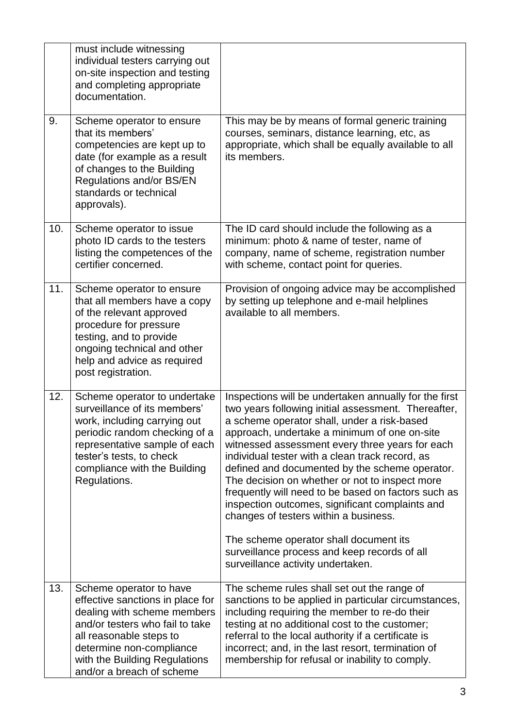|     | must include witnessing<br>individual testers carrying out<br>on-site inspection and testing<br>and completing appropriate<br>documentation.                                                                                                       |                                                                                                                                                                                                                                                                                                                                                                                                                                                                                                                                                                                                                                                                                                         |
|-----|----------------------------------------------------------------------------------------------------------------------------------------------------------------------------------------------------------------------------------------------------|---------------------------------------------------------------------------------------------------------------------------------------------------------------------------------------------------------------------------------------------------------------------------------------------------------------------------------------------------------------------------------------------------------------------------------------------------------------------------------------------------------------------------------------------------------------------------------------------------------------------------------------------------------------------------------------------------------|
| 9.  | Scheme operator to ensure<br>that its members'<br>competencies are kept up to<br>date (for example as a result<br>of changes to the Building<br>Regulations and/or BS/EN<br>standards or technical<br>approvals).                                  | This may be by means of formal generic training<br>courses, seminars, distance learning, etc, as<br>appropriate, which shall be equally available to all<br>its members.                                                                                                                                                                                                                                                                                                                                                                                                                                                                                                                                |
| 10. | Scheme operator to issue<br>photo ID cards to the testers<br>listing the competences of the<br>certifier concerned.                                                                                                                                | The ID card should include the following as a<br>minimum: photo & name of tester, name of<br>company, name of scheme, registration number<br>with scheme, contact point for queries.                                                                                                                                                                                                                                                                                                                                                                                                                                                                                                                    |
| 11. | Scheme operator to ensure<br>that all members have a copy<br>of the relevant approved<br>procedure for pressure<br>testing, and to provide<br>ongoing technical and other<br>help and advice as required<br>post registration.                     | Provision of ongoing advice may be accomplished<br>by setting up telephone and e-mail helplines<br>available to all members.                                                                                                                                                                                                                                                                                                                                                                                                                                                                                                                                                                            |
| 12. | Scheme operator to undertake<br>surveillance of its members'<br>work, including carrying out<br>periodic random checking of a<br>representative sample of each<br>tester's tests, to check<br>compliance with the Building<br>Regulations.         | Inspections will be undertaken annually for the first<br>two years following initial assessment. Thereafter,<br>a scheme operator shall, under a risk-based<br>approach, undertake a minimum of one on-site<br>witnessed assessment every three years for each<br>individual tester with a clean track record, as<br>defined and documented by the scheme operator.<br>The decision on whether or not to inspect more<br>frequently will need to be based on factors such as<br>inspection outcomes, significant complaints and<br>changes of testers within a business.<br>The scheme operator shall document its<br>surveillance process and keep records of all<br>surveillance activity undertaken. |
| 13. | Scheme operator to have<br>effective sanctions in place for<br>dealing with scheme members<br>and/or testers who fail to take<br>all reasonable steps to<br>determine non-compliance<br>with the Building Regulations<br>and/or a breach of scheme | The scheme rules shall set out the range of<br>sanctions to be applied in particular circumstances,<br>including requiring the member to re-do their<br>testing at no additional cost to the customer;<br>referral to the local authority if a certificate is<br>incorrect; and, in the last resort, termination of<br>membership for refusal or inability to comply.                                                                                                                                                                                                                                                                                                                                   |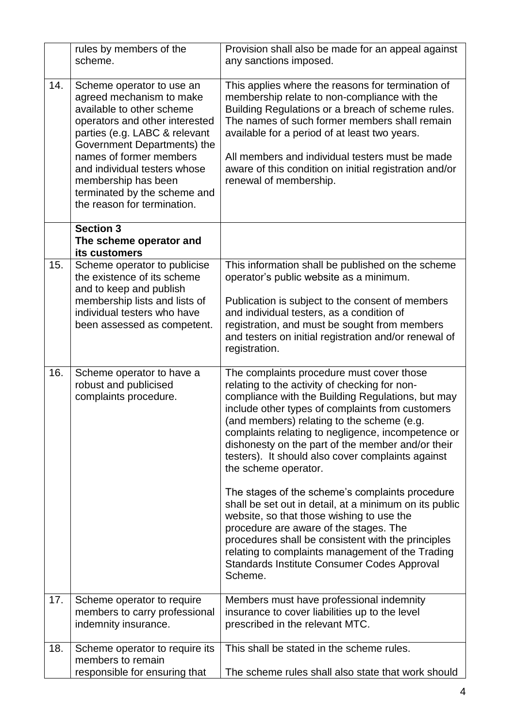|     | rules by members of the<br>scheme.                                                                                                                                                                                                                                                                                                    | Provision shall also be made for an appeal against<br>any sanctions imposed.                                                                                                                                                                                                                                                                                                                                                              |
|-----|---------------------------------------------------------------------------------------------------------------------------------------------------------------------------------------------------------------------------------------------------------------------------------------------------------------------------------------|-------------------------------------------------------------------------------------------------------------------------------------------------------------------------------------------------------------------------------------------------------------------------------------------------------------------------------------------------------------------------------------------------------------------------------------------|
| 14. | Scheme operator to use an<br>agreed mechanism to make<br>available to other scheme<br>operators and other interested<br>parties (e.g. LABC & relevant<br>Government Departments) the<br>names of former members<br>and individual testers whose<br>membership has been<br>terminated by the scheme and<br>the reason for termination. | This applies where the reasons for termination of<br>membership relate to non-compliance with the<br>Building Regulations or a breach of scheme rules.<br>The names of such former members shall remain<br>available for a period of at least two years.<br>All members and individual testers must be made<br>aware of this condition on initial registration and/or<br>renewal of membership.                                           |
|     | <b>Section 3</b><br>The scheme operator and<br>its customers                                                                                                                                                                                                                                                                          |                                                                                                                                                                                                                                                                                                                                                                                                                                           |
| 15. | Scheme operator to publicise<br>the existence of its scheme<br>and to keep and publish<br>membership lists and lists of<br>individual testers who have<br>been assessed as competent.                                                                                                                                                 | This information shall be published on the scheme<br>operator's public website as a minimum.<br>Publication is subject to the consent of members<br>and individual testers, as a condition of<br>registration, and must be sought from members<br>and testers on initial registration and/or renewal of<br>registration.                                                                                                                  |
| 16. | Scheme operator to have a<br>robust and publicised<br>complaints procedure.                                                                                                                                                                                                                                                           | The complaints procedure must cover those<br>relating to the activity of checking for non-<br>compliance with the Building Regulations, but may<br>include other types of complaints from customers<br>(and members) relating to the scheme (e.g.<br>complaints relating to negligence, incompetence or<br>dishonesty on the part of the member and/or their<br>testers). It should also cover complaints against<br>the scheme operator. |
|     |                                                                                                                                                                                                                                                                                                                                       | The stages of the scheme's complaints procedure<br>shall be set out in detail, at a minimum on its public<br>website, so that those wishing to use the<br>procedure are aware of the stages. The<br>procedures shall be consistent with the principles<br>relating to complaints management of the Trading<br>Standards Institute Consumer Codes Approval<br>Scheme.                                                                      |
| 17. | Scheme operator to require<br>members to carry professional<br>indemnity insurance.                                                                                                                                                                                                                                                   | Members must have professional indemnity<br>insurance to cover liabilities up to the level<br>prescribed in the relevant MTC.                                                                                                                                                                                                                                                                                                             |
| 18. | Scheme operator to require its<br>members to remain<br>responsible for ensuring that                                                                                                                                                                                                                                                  | This shall be stated in the scheme rules.<br>The scheme rules shall also state that work should                                                                                                                                                                                                                                                                                                                                           |